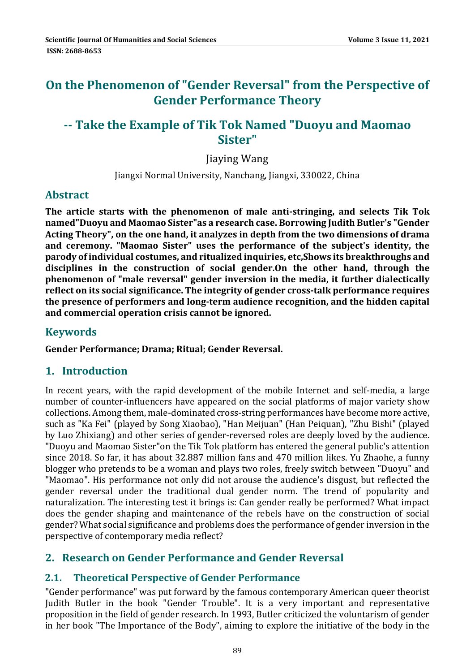# **On the Phenomenon of "Gender Reversal" from the Perspective of Gender Performance Theory**

# **‐‐ Take the Example of Tik Tok Named "Duoyu and Maomao Sister"**

**Jiaving Wang** 

Jiangxi Normal University, Nanchang, Jiangxi, 330022, China

### **Abstract**

**The article starts with the phenomenon of male anti‐stringing, and selects Tik Tok named"Duoyu and Maomao Sister"as a research case. Borrowing Judith Butler's "Gender Acting Theory", on the one hand, it analyzes in depth from the two dimensions of drama and ceremony. "Maomao Sister" uses the performance of the subject's identity, the parody of individual costumes, and ritualized inquiries, etc,Shows its breakthroughs and disciplines in the construction of social gender.On the other hand, through the phenomenon of "male reversal" gender inversion in the media, it further dialectically reflect on its social significance. The integrity of gender cross‐talk performance requires the presence of performers and long‐term audience recognition, and the hidden capital and commercial operation crisis cannot be ignored.**

### **Keywords**

**Gender Performance; Drama; Ritual; Gender Reversal.**

### **1. Introduction**

In recent years, with the rapid development of the mobile Internet and self-media, a large number of counter-influencers have appeared on the social platforms of major variety show collections. Among them, male-dominated cross-string performances have become more active, such as "Ka Fei" (played by Song Xiaobao), "Han Meijuan" (Han Peiguan), "Zhu Bishi" (played by Luo Zhixiang) and other series of gender-reversed roles are deeply loved by the audience. "Duoyu and Maomao Sister"on the Tik Tok platform has entered the general public's attention since 2018. So far, it has about 32.887 million fans and 470 million likes. Yu Zhaohe, a funny blogger who pretends to be a woman and plays two roles, freely switch between "Duoyu" and "Maomao". His performance not only did not arouse the audience's disgust, but reflected the gender reversal under the traditional dual gender norm. The trend of popularity and naturalization. The interesting test it brings is: Can gender really be performed? What impact does the gender shaping and maintenance of the rebels have on the construction of social gender? What social significance and problems does the performance of gender inversion in the perspective of contemporary media reflect?

### **2. Research on Gender Performance and Gender Reversal**

#### **2.1. Theoretical Perspective of Gender Performance**

"Gender performance" was put forward by the famous contemporary American queer theorist Judith Butler in the book "Gender Trouble". It is a very important and representative proposition in the field of gender research. In 1993, Butler criticized the voluntarism of gender in her book "The Importance of the Body", aiming to explore the initiative of the body in the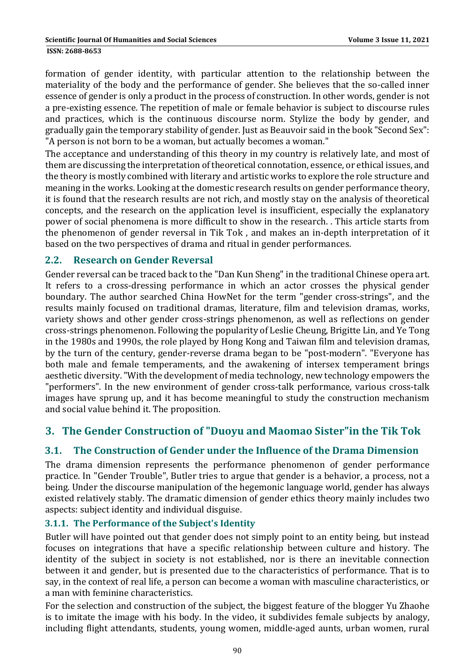#### **ISSN: 2688-8653**

formation of gender identity, with particular attention to the relationship between the materiality of the body and the performance of gender. She believes that the so-called inner essence of gender is only a product in the process of construction. In other words, gender is not a pre-existing essence. The repetition of male or female behavior is subject to discourse rules and practices, which is the continuous discourse norm. Stylize the body by gender, and gradually gain the temporary stability of gender. Just as Beauvoir said in the book "Second Sex": "A person is not born to be a woman, but actually becomes a woman."

The acceptance and understanding of this theory in my country is relatively late, and most of them are discussing the interpretation of theoretical connotation, essence, or ethical issues, and the theory is mostly combined with literary and artistic works to explore the role structure and meaning in the works. Looking at the domestic research results on gender performance theory, it is found that the research results are not rich, and mostly stay on the analysis of theoretical concepts, and the research on the application level is insufficient, especially the explanatory power of social phenomena is more difficult to show in the research. This article starts from the phenomenon of gender reversal in Tik Tok, and makes an in-depth interpretation of it based on the two perspectives of drama and ritual in gender performances.

#### **2.2. Research on Gender Reversal**

Gender reversal can be traced back to the "Dan Kun Sheng" in the traditional Chinese opera art. It refers to a cross-dressing performance in which an actor crosses the physical gender boundary. The author searched China HowNet for the term "gender cross-strings", and the results mainly focused on traditional dramas, literature, film and television dramas, works, variety shows and other gender cross-strings phenomenon, as well as reflections on gender cross-strings phenomenon. Following the popularity of Leslie Cheung, Brigitte Lin, and Ye Tong in the 1980s and 1990s, the role played by Hong Kong and Taiwan film and television dramas, by the turn of the century, gender-reverse drama began to be "post-modern". "Everyone has both male and female temperaments, and the awakening of intersex temperament brings aesthetic diversity. "With the development of media technology, new technology empowers the "performers". In the new environment of gender cross-talk performance, various cross-talk images have sprung up, and it has become meaningful to study the construction mechanism and social value behind it. The proposition.

### **3. The Gender Construction of "Duoyu and Maomao Sister"in the Tik Tok**

#### **3.1. The Construction of Gender under the Influence of the Drama Dimension**

The drama dimension represents the performance phenomenon of gender performance practice. In "Gender Trouble", Butler tries to argue that gender is a behavior, a process, not a being. Under the discourse manipulation of the hegemonic language world, gender has always existed relatively stably. The dramatic dimension of gender ethics theory mainly includes two aspects: subject identity and individual disguise.

#### **3.1.1. The Performance of the Subject's Identity**

Butler will have pointed out that gender does not simply point to an entity being, but instead focuses on integrations that have a specific relationship between culture and history. The identity of the subject in society is not established, nor is there an inevitable connection between it and gender, but is presented due to the characteristics of performance. That is to say, in the context of real life, a person can become a woman with masculine characteristics, or a man with feminine characteristics.

For the selection and construction of the subject, the biggest feature of the blogger Yu Zhaohe is to imitate the image with his body. In the video, it subdivides female subjects by analogy, including flight attendants, students, young women, middle-aged aunts, urban women, rural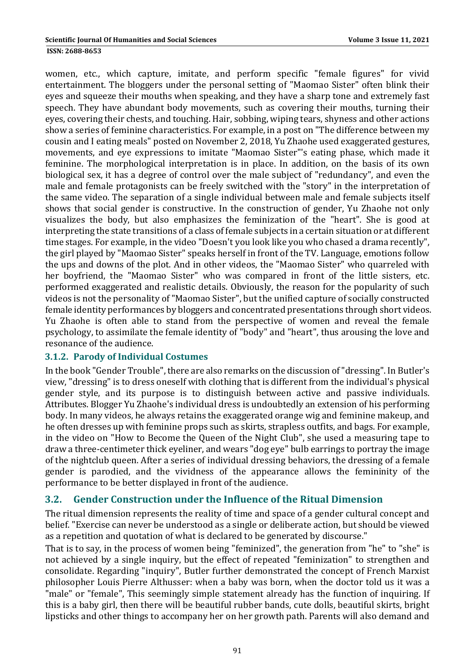**ISSN: 2688-8653** 

women, etc., which capture, imitate, and perform specific "female figures" for vivid entertainment. The bloggers under the personal setting of "Maomao Sister" often blink their eyes and squeeze their mouths when speaking, and they have a sharp tone and extremely fast speech. They have abundant body movements, such as covering their mouths, turning their eyes, covering their chests, and touching. Hair, sobbing, wiping tears, shyness and other actions show a series of feminine characteristics. For example, in a post on "The difference between my cousin and I eating meals" posted on November 2, 2018, Yu Zhaohe used exaggerated gestures, movements, and eye expressions to imitate "Maomao Sister"'s eating phase, which made it feminine. The morphological interpretation is in place. In addition, on the basis of its own biological sex, it has a degree of control over the male subject of "redundancy", and even the male and female protagonists can be freely switched with the "story" in the interpretation of the same video. The separation of a single individual between male and female subjects itself shows that social gender is constructive. In the construction of gender, Yu Zhaohe not only visualizes the body, but also emphasizes the feminization of the "heart". She is good at interpreting the state transitions of a class of female subjects in a certain situation or at different time stages. For example, in the video "Doesn't you look like you who chased a drama recently", the girl played by "Maomao Sister" speaks herself in front of the TV. Language, emotions follow the ups and downs of the plot. And in other videos, the "Maomao Sister" who quarreled with her boyfriend, the "Maomao Sister" who was compared in front of the little sisters, etc. performed exaggerated and realistic details. Obviously, the reason for the popularity of such videos is not the personality of "Maomao Sister", but the unified capture of socially constructed female identity performances by bloggers and concentrated presentations through short videos. Yu Zhaohe is often able to stand from the perspective of women and reveal the female psychology, to assimilate the female identity of "body" and "heart", thus arousing the love and resonance of the audience.

#### **3.1.2. Parody of Individual Costumes**

In the book "Gender Trouble", there are also remarks on the discussion of "dressing". In Butler's view, "dressing" is to dress oneself with clothing that is different from the individual's physical gender style, and its purpose is to distinguish between active and passive individuals. Attributes. Blogger Yu Zhaohe's individual dress is undoubtedly an extension of his performing body. In many videos, he always retains the exaggerated orange wig and feminine makeup, and he often dresses up with feminine props such as skirts, strapless outfits, and bags. For example, in the video on "How to Become the Queen of the Night Club", she used a measuring tape to draw a three-centimeter thick eyeliner, and wears "dog eye" bulb earrings to portray the image of the nightclub queen. After a series of individual dressing behaviors, the dressing of a female gender is parodied, and the vividness of the appearance allows the femininity of the performance to be better displayed in front of the audience.

#### **3.2. Gender Construction under the Influence of the Ritual Dimension**

The ritual dimension represents the reality of time and space of a gender cultural concept and belief. "Exercise can never be understood as a single or deliberate action, but should be viewed as a repetition and quotation of what is declared to be generated by discourse."

That is to say, in the process of women being "feminized", the generation from "he" to "she" is not achieved by a single inquiry, but the effect of repeated "feminization" to strengthen and consolidate. Regarding "inquiry", Butler further demonstrated the concept of French Marxist philosopher Louis Pierre Althusser: when a baby was born, when the doctor told us it was a "male" or "female", This seemingly simple statement already has the function of inquiring. If this is a baby girl, then there will be beautiful rubber bands, cute dolls, beautiful skirts, bright lipsticks and other things to accompany her on her growth path. Parents will also demand and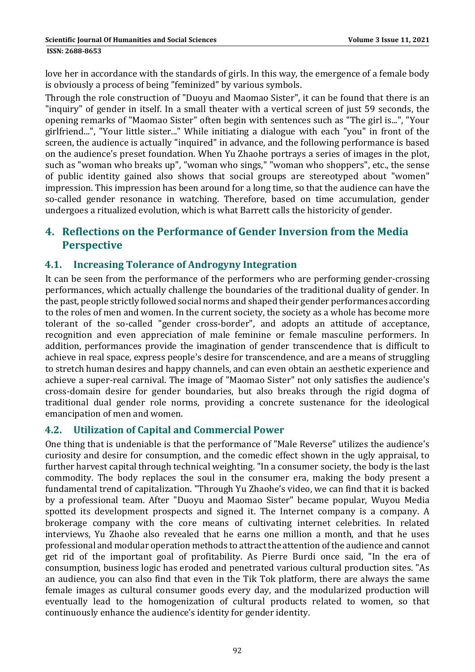**ISSN: 2688-8653** 

love her in accordance with the standards of girls. In this way, the emergence of a female body is obviously a process of being "feminized" by various symbols.

Through the role construction of "Duoyu and Maomao Sister", it can be found that there is an "inquiry" of gender in itself. In a small theater with a vertical screen of just 59 seconds, the opening remarks of "Maomao Sister" often begin with sentences such as "The girl is...", "Your girlfriend...", "Your little sister..." While initiating a dialogue with each "you" in front of the screen, the audience is actually "inquired" in advance, and the following performance is based on the audience's preset foundation. When Yu Zhaohe portrays a series of images in the plot, such as "woman who breaks up", "woman who sings," "woman who shoppers", etc., the sense of public identity gained also shows that social groups are stereotyped about "women" impression. This impression has been around for a long time, so that the audience can have the so-called gender resonance in watching. Therefore, based on time accumulation, gender undergoes a ritualized evolution, which is what Barrett calls the historicity of gender.

### **4. Reflections on the Performance of Gender Inversion from the Media Perspective**

### **4.1. Increasing Tolerance of Androgyny Integration**

It can be seen from the performance of the performers who are performing gender-crossing performances, which actually challenge the boundaries of the traditional duality of gender. In the past, people strictly followed social norms and shaped their gender performances according to the roles of men and women. In the current society, the society as a whole has become more tolerant of the so-called "gender cross-border", and adopts an attitude of acceptance, recognition and even appreciation of male feminine or female masculine performers. In addition, performances provide the imagination of gender transcendence that is difficult to achieve in real space, express people's desire for transcendence, and are a means of struggling to stretch human desires and happy channels, and can even obtain an aesthetic experience and achieve a super-real carnival. The image of "Maomao Sister" not only satisfies the audience's cross-domain desire for gender boundaries, but also breaks through the rigid dogma of traditional dual gender role norms, providing a concrete sustenance for the ideological emancipation of men and women.

### **4.2. Utilization of Capital and Commercial Power**

One thing that is undeniable is that the performance of "Male Reverse" utilizes the audience's curiosity and desire for consumption, and the comedic effect shown in the ugly appraisal, to further harvest capital through technical weighting. "In a consumer society, the body is the last commodity. The body replaces the soul in the consumer era, making the body present a fundamental trend of capitalization. "Through Yu Zhaohe's video, we can find that it is backed by a professional team. After "Duoyu and Maomao Sister" became popular, Wuyou Media spotted its development prospects and signed it. The Internet company is a company. A brokerage company with the core means of cultivating internet celebrities. In related interviews, Yu Zhaohe also revealed that he earns one million a month, and that he uses professional and modular operation methods to attract the attention of the audience and cannot get rid of the important goal of profitability. As Pierre Burdi once said, "In the era of consumption, business logic has eroded and penetrated various cultural production sites. "As an audience, you can also find that even in the Tik Tok platform, there are always the same female images as cultural consumer goods every day, and the modularized production will eventually lead to the homogenization of cultural products related to women, so that continuously enhance the audience's identity for gender identity.